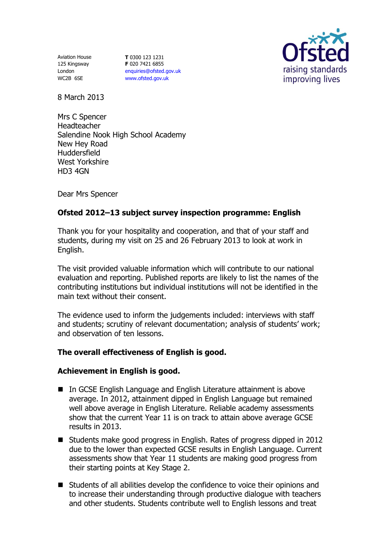Aviation House 125 Kingsway London WC2B 6SE

**T** 0300 123 1231 **F** 020 7421 6855 [enquiries@ofsted.gov.uk](mailto:enquiries@ofsted.gov.uk) [www.ofsted.gov.uk](http://www.ofsted.gov.uk/)



8 March 2013

Mrs C Spencer Headteacher Salendine Nook High School Academy New Hey Road Huddersfield West Yorkshire HD3 4GN

Dear Mrs Spencer

# **Ofsted 2012–13 subject survey inspection programme: English**

Thank you for your hospitality and cooperation, and that of your staff and students, during my visit on 25 and 26 February 2013 to look at work in English.

The visit provided valuable information which will contribute to our national evaluation and reporting. Published reports are likely to list the names of the contributing institutions but individual institutions will not be identified in the main text without their consent.

The evidence used to inform the judgements included: interviews with staff and students; scrutiny of relevant documentation; analysis of students' work; and observation of ten lessons.

# **The overall effectiveness of English is good.**

### **Achievement in English is good.**

- In GCSE English Language and English Literature attainment is above average. In 2012, attainment dipped in English Language but remained well above average in English Literature. Reliable academy assessments show that the current Year 11 is on track to attain above average GCSE results in 2013.
- Students make good progress in English. Rates of progress dipped in 2012 due to the lower than expected GCSE results in English Language. Current assessments show that Year 11 students are making good progress from their starting points at Key Stage 2.
- Students of all abilities develop the confidence to voice their opinions and to increase their understanding through productive dialogue with teachers and other students. Students contribute well to English lessons and treat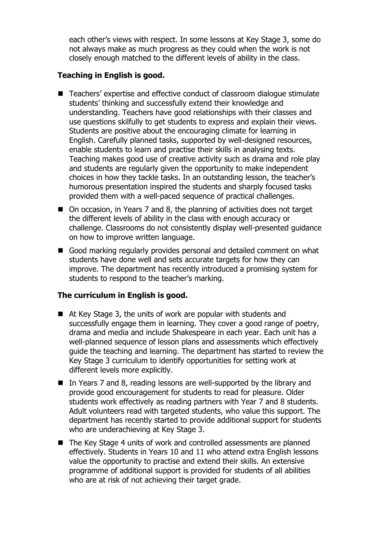each other's views with respect. In some lessons at Key Stage 3, some do not always make as much progress as they could when the work is not closely enough matched to the different levels of ability in the class.

## **Teaching in English is good.**

- Teachers' expertise and effective conduct of classroom dialogue stimulate students' thinking and successfully extend their knowledge and understanding. Teachers have good relationships with their classes and use questions skilfully to get students to express and explain their views. Students are positive about the encouraging climate for learning in English. Carefully planned tasks, supported by well-designed resources, enable students to learn and practise their skills in analysing texts. Teaching makes good use of creative activity such as drama and role play and students are regularly given the opportunity to make independent choices in how they tackle tasks. In an outstanding lesson, the teacher's humorous presentation inspired the students and sharply focused tasks provided them with a well-paced sequence of practical challenges.
- On occasion, in Years 7 and 8, the planning of activities does not target the different levels of ability in the class with enough accuracy or challenge. Classrooms do not consistently display well-presented guidance on how to improve written language.
- Good marking regularly provides personal and detailed comment on what students have done well and sets accurate targets for how they can improve. The department has recently introduced a promising system for students to respond to the teacher's marking.

### **The curriculum in English is good.**

- At Key Stage 3, the units of work are popular with students and successfully engage them in learning. They cover a good range of poetry, drama and media and include Shakespeare in each year. Each unit has a well-planned sequence of lesson plans and assessments which effectively guide the teaching and learning. The department has started to review the Key Stage 3 curriculum to identify opportunities for setting work at different levels more explicitly.
- In Years 7 and 8, reading lessons are well-supported by the library and provide good encouragement for students to read for pleasure. Older students work effectively as reading partners with Year 7 and 8 students. Adult volunteers read with targeted students, who value this support. The department has recently started to provide additional support for students who are underachieving at Key Stage 3.
- The Key Stage 4 units of work and controlled assessments are planned effectively. Students in Years 10 and 11 who attend extra English lessons value the opportunity to practise and extend their skills. An extensive programme of additional support is provided for students of all abilities who are at risk of not achieving their target grade.